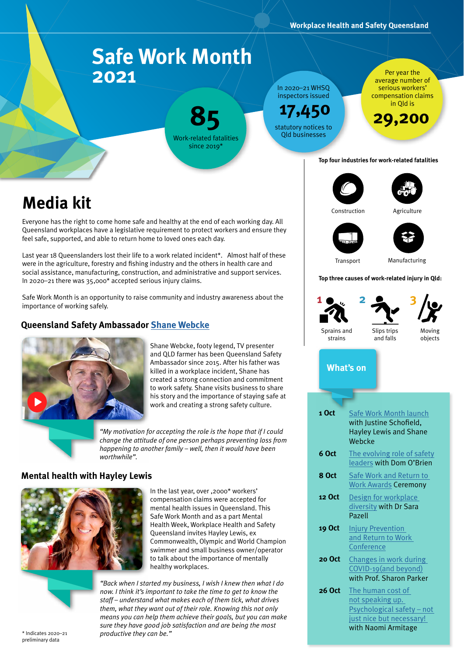## **Safe Work Month 2021**

**85** Work-related fatalities since 2019\*

In 2020–21 WHSQ inspectors issued

**17,450**

Per year the average number of serious workers' compensation claims in Qld is

**29,200**

statutory notices to Qld businesses

#### **Top four industries for work-related fatalities:**

# **Media kit**

Everyone has the right to come home safe and healthy at the end of each working day. All Queensland workplaces have a legislative requirement to protect workers and ensure they feel safe, supported, and able to return home to loved ones each day.

Last year 18 Queenslanders lost their life to a work related incident\*. Almost half of these were in the agriculture, forestry and fishing industry and the others in health care and social assistance, manufacturing, construction, and administrative and support services. In 2020–21 there was 35,000\* accepted serious injury claims.

Safe Work Month is an opportunity to raise community and industry awareness about the importance of working safely.

#### **Queensland Safety Ambassador [Shane Webcke](https://www.youtube.com/watch?v=aDVEw6MBVzw&feature=emb_logo)**



Shane Webcke, footy legend, TV presenter and QLD farmer has been Queensland Safety Ambassador since 2015. After his father was killed in a workplace incident, Shane has created a strong connection and commitment to work safety. Shane visits business to share his story and the importance of staying safe at work and creating a strong safety culture.

*"My motivation for accepting the role is the hope that if I could change the attitude of one person perhaps preventing loss from happening to another family – well, then it would have been worthwhile".*

#### **Mental health with Hayley Lewis**



In the last year, over ,2000\* workers' compensation claims were accepted for mental health issues in Queensland. This Safe Work Month and as a part Mental Health Week, Workplace Health and Safety Queensland invites Hayley Lewis, ex Commonwealth, Olympic and World Champion swimmer and small business owner/operator to talk about the importance of mentally healthy workplaces.



*"Back when I started my business, I wish I knew then what I do now. I think it's important to take the time to get to know the staff – understand what makes each of them tick, what drives them, what they want out of their role. Knowing this not only means you can help them achieve their goals, but you can make sure they have good job satisfaction and are being the most productive they can be."* \* Indicates 2020–21

Construction Agriculture

Transport Manufacturing

#### **Top three causes of work-related injury in Qld:**





Moving objects

### **What's on**

| 1 Oct         | Safe Work Month launch<br>with Justine Schofield,<br><b>Hayley Lewis and Shane</b><br>Webcke                           |
|---------------|------------------------------------------------------------------------------------------------------------------------|
| 6 Oct         | The evolving role of safety<br>leaders with Dom O'Brien                                                                |
| 8 Oct         | Safe Work and Return to<br><b>Work Awards Ceremony</b>                                                                 |
| 12 Oct        | Design for workplace<br>diversity with Dr Sara<br>Pazell                                                               |
| <b>19 Oct</b> | <b>Injury Prevention</b><br>and Return to Work<br>Conference                                                           |
| 20 Oct        | Changes in work during<br>COVID-19 (and beyond)<br>with Prof. Sharon Parker                                            |
| 26 Oct        | The human cost of<br>not speaking up.<br>Psychological safety - not<br>just nice but necessary!<br>with Naomi Armitage |

preliminary data